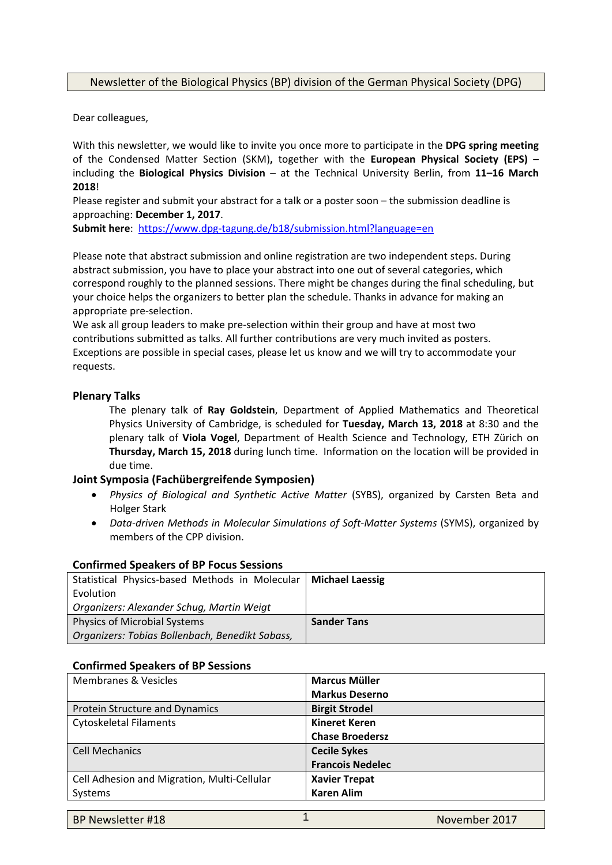# Newsletter of the Biological Physics (BP) division of the German Physical Society (DPG)

Dear colleagues,

With this newsletter, we would like to invite you once more to participate in the **DPG spring meeting** of the Condensed Matter Section (SKM)**,** together with the **European Physical Society (EPS)** – including the **Biological Physics Division** – at the Technical University Berlin, from **11–16 March 2018**!

Please register and submit your abstract for a talk or a poster soon – the submission deadline is approaching: **December 1, 2017**.

**Submit here**: https://www.dpg‐tagung.de/b18/submission.html?language=en

Please note that abstract submission and online registration are two independent steps. During abstract submission, you have to place your abstract into one out of several categories, which correspond roughly to the planned sessions. There might be changes during the final scheduling, but your choice helps the organizers to better plan the schedule. Thanks in advance for making an appropriate pre‐selection.

We ask all group leaders to make pre-selection within their group and have at most two contributions submitted as talks. All further contributions are very much invited as posters. Exceptions are possible in special cases, please let us know and we will try to accommodate your requests.

## **Plenary Talks**

The plenary talk of **Ray Goldstein**, Department of Applied Mathematics and Theoretical Physics University of Cambridge, is scheduled for **Tuesday, March 13, 2018** at 8:30 and the plenary talk of **Viola Vogel**, Department of Health Science and Technology, ETH Zürich on **Thursday, March 15, 2018** during lunch time. Information on the location will be provided in due time.

## **Joint Symposia (Fachübergreifende Symposien)**

- *Physics of Biological and Synthetic Active Matter* (SYBS), organized by Carsten Beta and Holger Stark
- *Data‐driven Methods in Molecular Simulations of Soft‐Matter Systems* (SYMS), organized by members of the CPP division.

| Statistical Physics-based Methods in Molecular  | <b>Michael Laessig</b> |
|-------------------------------------------------|------------------------|
| Evolution                                       |                        |
| Organizers: Alexander Schug, Martin Weigt       |                        |
| <b>Physics of Microbial Systems</b>             | <b>Sander Tans</b>     |
| Organizers: Tobias Bollenbach, Benedikt Sabass, |                        |

#### **Confirmed Speakers of BP Focus Sessions**

#### **Confirmed Speakers of BP Sessions**

| <b>Markus Deserno</b>   |
|-------------------------|
| <b>Birgit Strodel</b>   |
| <b>Kineret Keren</b>    |
| <b>Chase Broedersz</b>  |
| <b>Cecile Sykes</b>     |
| <b>Francois Nedelec</b> |
| <b>Xavier Trepat</b>    |
| <b>Karen Alim</b>       |
|                         |